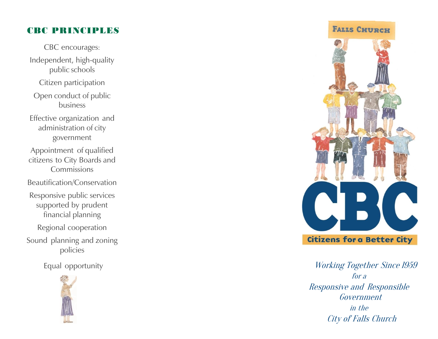# CBC PRINCIPLES

CBC encourages : Independent, high -quality public schools Citizen participation Open conduct of public business Effective organization and administration of city government Appointment of qualified citizens to City Boards and Commissions Beautification/Conservation Responsive public services supported by prudent financial planning Regional cooperation Sound planning and zoning policies

Equal opportunity





Together Since 1959 for a Responsive and Responsible Government in the City of Falls Church